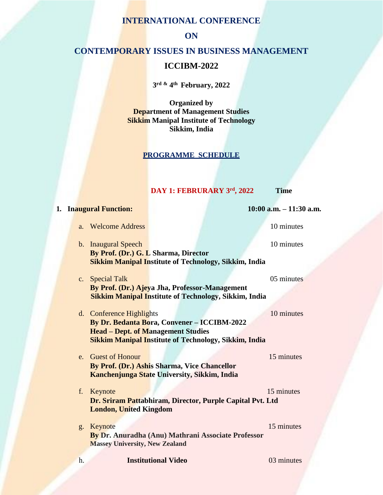### **INTERNATIONAL CONFERENCE**

**ON**

## **CONTEMPORARY ISSUES IN BUSINESS MANAGEMENT**

# **ICCIBM-2022**

**3 rd & 4 th February, 2022**

**Organized by Department of Management Studies Sikkim Manipal Institute of Technology Sikkim, India**

#### **PROGRAMME SCHEDULE**

#### **DAY 1: FEBRURARY 3rd, 2022 Time**

**1. Inaugural Function: 10:00 a.m. – 11:30 a.m.**

a. Welcome Address 10 minutes

- b. Inaugural Speech 10 minutes **By Prof. (Dr.) G. L Sharma, Director Sikkim Manipal Institute of Technology, Sikkim, India**
- c. Special Talk 05 minutes **By Prof. (Dr.) Ajeya Jha, Professor-Management Sikkim Manipal Institute of Technology, Sikkim, India**
- d. Conference Highlights 10 minutes **By Dr. Bedanta Bora, Convener – ICCIBM-2022 Head – Dept. of Management Studies Sikkim Manipal Institute of Technology, Sikkim, India**

e. Guest of Honour 15 minutes **By Prof. (Dr.) Ashis Sharma, Vice Chancellor Kanchenjunga State University, Sikkim, India**

- f. Keynote 15 minutes **Dr. Sriram Pattabhiram, Director, Purple Capital Pvt. Ltd London, United Kingdom**
- g. Keynote 15 minutes  **By Dr. Anuradha (Anu) Mathrani Associate Professor Massey University, New Zealand**

h. **Institutional Video** 03 minutes